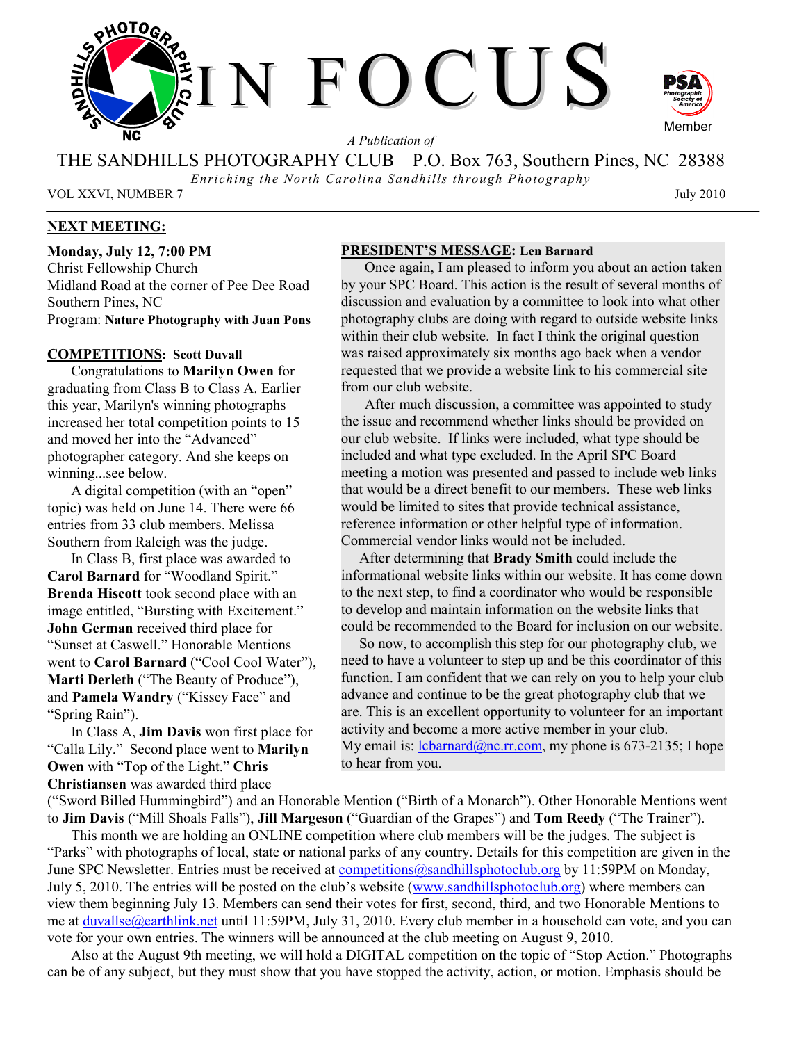

*A Publication of* 

THE SANDHILLS PHOTOGRAPHY CLUB P.O. Box 763, Southern Pines, NC 28388

*Enriching the North Carolina Sandhills through Photography* 

VOL XXVI, NUMBER 7 July 2010

# **NEXT MEETING:**

**Monday, July 12, 7:00 PM**  Christ Fellowship Church Midland Road at the corner of Pee Dee Road Southern Pines, NC Program: **Nature Photography with Juan Pons** 

### **COMPETITIONS: Scott Duvall**

Congratulations to **Marilyn Owen** for graduating from Class B to Class A. Earlier this year, Marilyn's winning photographs increased her total competition points to 15 and moved her into the "Advanced" photographer category. And she keeps on winning...see below.

A digital competition (with an "open" topic) was held on June 14. There were 66 entries from 33 club members. Melissa Southern from Raleigh was the judge.

In Class B, first place was awarded to **Carol Barnard** for "Woodland Spirit." **Brenda Hiscott** took second place with an image entitled, "Bursting with Excitement." **John German** received third place for "Sunset at Caswell." Honorable Mentions went to **Carol Barnard** ("Cool Cool Water"), **Marti Derleth** ("The Beauty of Produce"), and **Pamela Wandry** ("Kissey Face" and "Spring Rain").

In Class A, **Jim Davis** won first place for "Calla Lily." Second place went to **Marilyn Owen** with "Top of the Light." **Chris Christiansen** was awarded third place

### **PRESIDENT'S MESSAGE: Len Barnard**

Once again, I am pleased to inform you about an action taken by your SPC Board. This action is the result of several months of discussion and evaluation by a committee to look into what other photography clubs are doing with regard to outside website links within their club website. In fact I think the original question was raised approximately six months ago back when a vendor requested that we provide a website link to his commercial site from our club website.

After much discussion, a committee was appointed to study the issue and recommend whether links should be provided on our club website. If links were included, what type should be included and what type excluded. In the April SPC Board meeting a motion was presented and passed to include web links that would be a direct benefit to our members. These web links would be limited to sites that provide technical assistance, reference information or other helpful type of information. Commercial vendor links would not be included.

 After determining that **Brady Smith** could include the informational website links within our website. It has come down to the next step, to find a coordinator who would be responsible to develop and maintain information on the website links that could be recommended to the Board for inclusion on our website.

 So now, to accomplish this step for our photography club, we need to have a volunteer to step up and be this coordinator of this function. I am confident that we can rely on you to help your club advance and continue to be the great photography club that we are. This is an excellent opportunity to volunteer for an important activity and become a more active member in your club. My email is:  $\frac{1 \text{c} \text{b} \text{a} \text{c} \cdot \text{b} \cdot \text{b}}{a \cdot \text{c} \cdot \text{c} \cdot \text{c}}$  my phone is 673-2135; I hope to hear from you.

("Sword Billed Hummingbird") and an Honorable Mention ("Birth of a Monarch"). Other Honorable Mentions went to **Jim Davis** ("Mill Shoals Falls"), **Jill Margeson** ("Guardian of the Grapes") and **Tom Reedy** ("The Trainer").

This month we are holding an ONLINE competition where club members will be the judges. The subject is "Parks" with photographs of local, state or national parks of any country. Details for this competition are given in the June SPC Newsletter. Entries must be received at competitions@sandhillsphotoclub.org by 11:59PM on Monday, July 5, 2010. The entries will be posted on the club's website (www.sandhillsphotoclub.org) where members can view them beginning July 13. Members can send their votes for first, second, third, and two Honorable Mentions to me at duvallse@earthlink.net until 11:59PM, July 31, 2010. Every club member in a household can vote, and you can vote for your own entries. The winners will be announced at the club meeting on August 9, 2010.

Also at the August 9th meeting, we will hold a DIGITAL competition on the topic of "Stop Action." Photographs can be of any subject, but they must show that you have stopped the activity, action, or motion. Emphasis should be

Member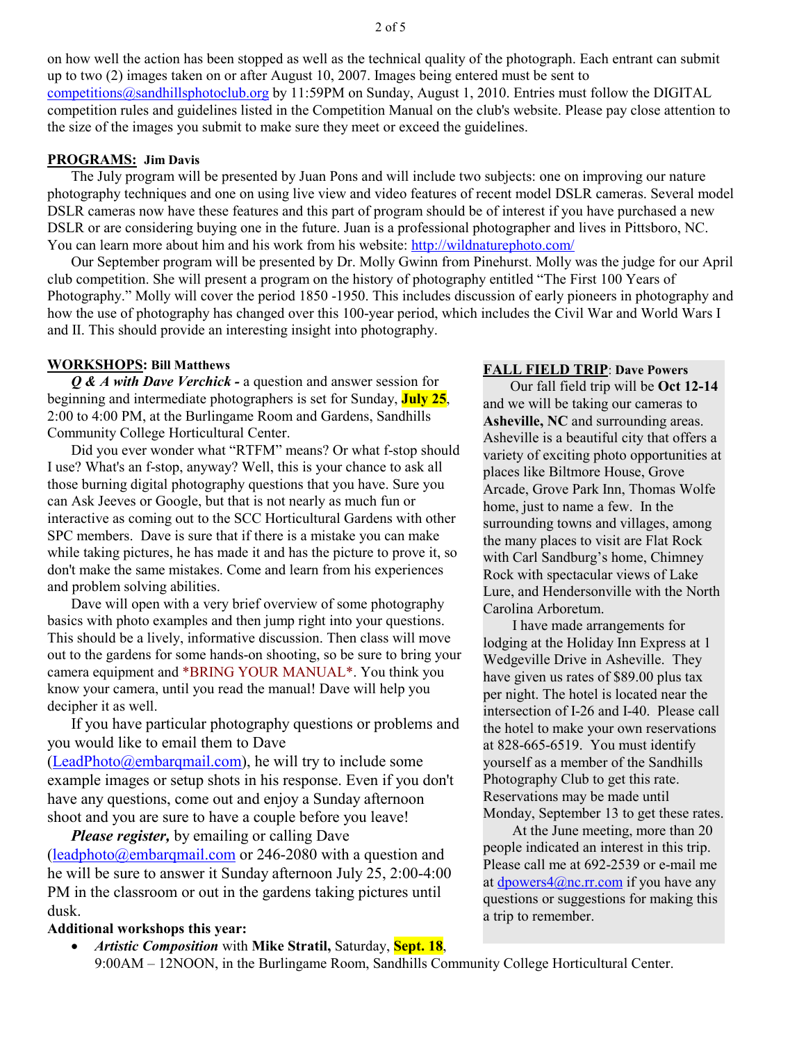### **PROGRAMS: Jim Davis**

The July program will be presented by Juan Pons and will include two subjects: one on improving our nature photography techniques and one on using live view and video features of recent model DSLR cameras. Several model DSLR cameras now have these features and this part of program should be of interest if you have purchased a new DSLR or are considering buying one in the future. Juan is a professional photographer and lives in Pittsboro, NC. You can learn more about him and his work from his website: http://wildnaturephoto.com/

Our September program will be presented by Dr. Molly Gwinn from Pinehurst. Molly was the judge for our April club competition. She will present a program on the history of photography entitled "The First 100 Years of Photography." Molly will cover the period 1850 -1950. This includes discussion of early pioneers in photography and how the use of photography has changed over this 100-year period, which includes the Civil War and World Wars I and II. This should provide an interesting insight into photography.

### **WORKSHOPS: Bill Matthews**

*Q & A with Dave Verchick -* a question and answer session for beginning and intermediate photographers is set for Sunday, **July 25**, 2:00 to 4:00 PM, at the Burlingame Room and Gardens, Sandhills Community College Horticultural Center.

Did you ever wonder what "RTFM" means? Or what f-stop should I use? What's an f-stop, anyway? Well, this is your chance to ask all those burning digital photography questions that you have. Sure you can Ask Jeeves or Google, but that is not nearly as much fun or interactive as coming out to the SCC Horticultural Gardens with other SPC members. Dave is sure that if there is a mistake you can make while taking pictures, he has made it and has the picture to prove it, so don't make the same mistakes. Come and learn from his experiences and problem solving abilities.

Dave will open with a very brief overview of some photography basics with photo examples and then jump right into your questions. This should be a lively, informative discussion. Then class will move out to the gardens for some hands-on shooting, so be sure to bring your camera equipment and \*BRING YOUR MANUAL\*. You think you know your camera, until you read the manual! Dave will help you decipher it as well.

If you have particular photography questions or problems and you would like to email them to Dave

 $(LeadPhoto@embargmail.com)$ , he will try to include some example images or setup shots in his response. Even if you don't have any questions, come out and enjoy a Sunday afternoon shoot and you are sure to have a couple before you leave!

*Please register,* by emailing or calling Dave (leadphoto@embarqmail.com or 246-2080 with a question and he will be sure to answer it Sunday afternoon July 25, 2:00-4:00 PM in the classroom or out in the gardens taking pictures until dusk.

### **Additional workshops this year:**

• *Artistic Composition* with **Mike Stratil,** Saturday, **Sept. 18**, 9:00AM – 12NOON, in the Burlingame Room, Sandhills Community College Horticultural Center.

# **FALL FIELD TRIP**: **Dave Powers**

Our fall field trip will be **Oct 12-14** and we will be taking our cameras to **Asheville, NC** and surrounding areas. Asheville is a beautiful city that offers a variety of exciting photo opportunities at places like Biltmore House, Grove Arcade, Grove Park Inn, Thomas Wolfe home, just to name a few. In the surrounding towns and villages, among the many places to visit are Flat Rock with Carl Sandburg's home, Chimney Rock with spectacular views of Lake Lure, and Hendersonville with the North Carolina Arboretum.

 I have made arrangements for lodging at the Holiday Inn Express at 1 Wedgeville Drive in Asheville. They have given us rates of \$89.00 plus tax per night. The hotel is located near the intersection of I-26 and I-40. Please call the hotel to make your own reservations at 828-665-6519. You must identify yourself as a member of the Sandhills Photography Club to get this rate. Reservations may be made until Monday, September 13 to get these rates.

 At the June meeting, more than 20 people indicated an interest in this trip. Please call me at 692-2539 or e-mail me at dpowers $4@nc.rr.com$  if you have any questions or suggestions for making this a trip to remember.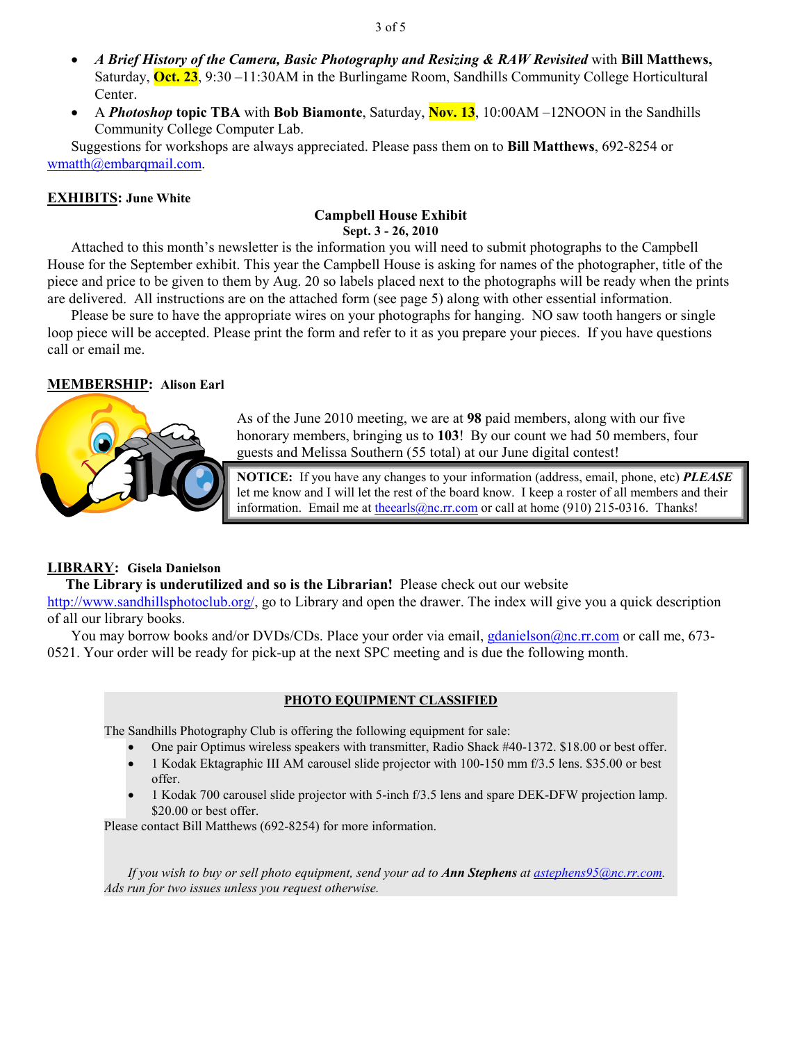- *A Brief History of the Camera, Basic Photography and Resizing & RAW Revisited* with **Bill Matthews,**  Saturday, **Oct. 23**, 9:30 –11:30AM in the Burlingame Room, Sandhills Community College Horticultural Center.
- A *Photoshop* **topic TBA** with **Bob Biamonte**, Saturday, **Nov. 13**, 10:00AM –12NOON in the Sandhills Community College Computer Lab.

Suggestions for workshops are always appreciated. Please pass them on to **Bill Matthews**, 692-8254 or wmatth@embarqmail.com.

### **EXHIBITS: June White**

# **Campbell House Exhibit Sept. 3 - 26, 2010**

Attached to this month's newsletter is the information you will need to submit photographs to the Campbell House for the September exhibit. This year the Campbell House is asking for names of the photographer, title of the piece and price to be given to them by Aug. 20 so labels placed next to the photographs will be ready when the prints are delivered. All instructions are on the attached form (see page 5) along with other essential information.

Please be sure to have the appropriate wires on your photographs for hanging. NO saw tooth hangers or single loop piece will be accepted. Please print the form and refer to it as you prepare your pieces. If you have questions call or email me.

# **MEMBERSHIP: Alison Earl**



As of the June 2010 meeting, we are at **98** paid members, along with our five honorary members, bringing us to **103**! By our count we had 50 members, four guests and Melissa Southern (55 total) at our June digital contest!

**NOTICE:** If you have any changes to your information (address, email, phone, etc) *PLEASE* let me know and I will let the rest of the board know. I keep a roster of all members and their information. Email me at the earls @nc.rr.com or call at home (910) 215-0316. Thanks!

# **LIBRARY: Gisela Danielson**

 **The Library is underutilized and so is the Librarian!** Please check out our website

http://www.sandhillsphotoclub.org/, go to Library and open the drawer. The index will give you a quick description of all our library books.

You may borrow books and/or DVDs/CDs. Place your order via email, gdanielson@nc.rr.com or call me, 673-0521. Your order will be ready for pick-up at the next SPC meeting and is due the following month.

## **PHOTO EQUIPMENT CLASSIFIED**

The Sandhills Photography Club is offering the following equipment for sale:

- One pair Optimus wireless speakers with transmitter, Radio Shack #40-1372. \$18.00 or best offer.
- 1 Kodak Ektagraphic III AM carousel slide projector with 100-150 mm f/3.5 lens. \$35.00 or best offer.
- 1 Kodak 700 carousel slide projector with 5-inch f/3.5 lens and spare DEK-DFW projection lamp. \$20.00 or best offer.

Please contact Bill Matthews (692-8254) for more information.

*If you wish to buy or sell photo equipment, send your ad to Ann Stephens at astephens95@nc.rr.com. Ads run for two issues unless you request otherwise.*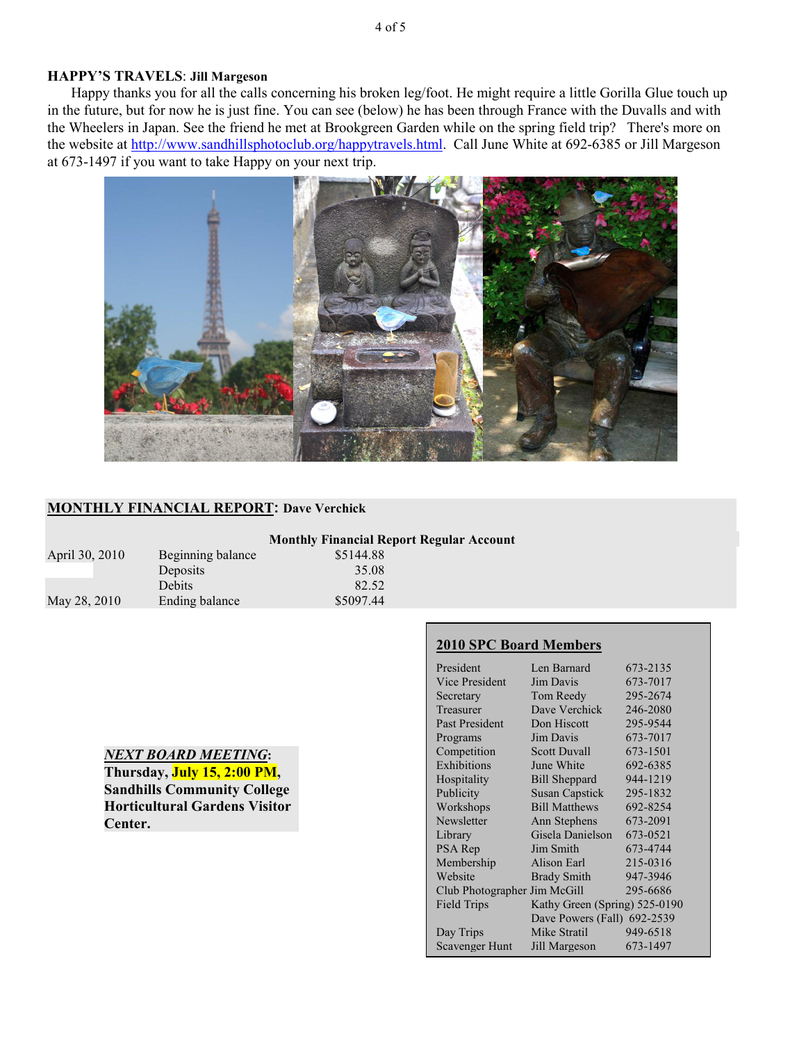# **HAPPY'S TRAVELS**: **Jill Margeson**

Happy thanks you for all the calls concerning his broken leg/foot. He might require a little Gorilla Glue touch up in the future, but for now he is just fine. You can see (below) he has been through France with the Duvalls and with the Wheelers in Japan. See the friend he met at Brookgreen Garden while on the spring field trip? There's more on the website at http://www.sandhillsphotoclub.org/happytravels.html. Call June White at 692-6385 or Jill Margeson at 673-1497 if you want to take Happy on your next trip.



## **MONTHLY FINANCIAL REPORT: Dave Verchick**

|                |                   | <b>Monthly Financial Report Regular Account</b> |
|----------------|-------------------|-------------------------------------------------|
| April 30, 2010 | Beginning balance | \$5144.88                                       |
|                | Deposits          | 35.08                                           |
|                | <b>Debits</b>     | 82.52                                           |
| May 28, 2010   | Ending balance    | \$5097.44                                       |

# *NEXT BOARD MEETING***:**

**Thursday, July 15, 2:00 PM, Sandhills Community College Horticultural Gardens Visitor Center.** 

## **2010 SPC Board Members**

| President                    | Len Barnard                   | 673-2135 |
|------------------------------|-------------------------------|----------|
| Vice President               | Jim Davis                     | 673-7017 |
| Secretary                    | Tom Reedy                     | 295-2674 |
| Treasurer                    | Dave Verchick                 | 246-2080 |
| Past President               | Don Hiscott                   | 295-9544 |
| Programs                     | Jim Davis                     | 673-7017 |
| Competition                  | <b>Scott Duvall</b>           | 673-1501 |
| Exhibitions                  | June White                    | 692-6385 |
| Hospitality                  | <b>Bill Sheppard</b>          | 944-1219 |
| Publicity                    | <b>Susan Capstick</b>         | 295-1832 |
| Workshops                    | <b>Bill Matthews</b>          | 692-8254 |
| Newsletter                   | Ann Stephens                  | 673-2091 |
| Library                      | Gisela Danielson              | 673-0521 |
| PSA Rep                      | Jim Smith                     | 673-4744 |
| Membership                   | Alison Earl                   | 215-0316 |
| Website                      | <b>Brady Smith</b>            | 947-3946 |
| Club Photographer Jim McGill |                               | 295-6686 |
| <b>Field Trips</b>           | Kathy Green (Spring) 525-0190 |          |
|                              | Dave Powers (Fall) 692-2539   |          |
| Day Trips                    | Mike Stratil                  | 949-6518 |
| <b>Scavenger Hunt</b>        | Jill Margeson                 | 673-1497 |
|                              |                               |          |